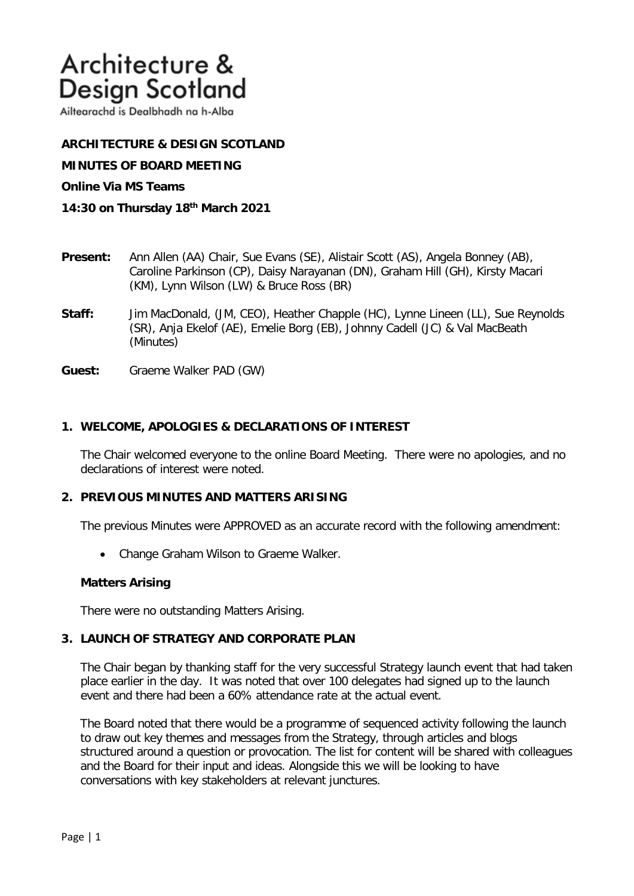# Architecture & **Design Scotland**

Ailtearachd is Dealbhadh na h-Alba

# **ARCHITECTURE & DESIGN SCOTLAND**

**MINUTES OF BOARD MEETING** 

#### **Online Via MS Teams**

- **14:30 on Thursday 18th March 2021**
- **Present:** Ann Allen (AA) Chair, Sue Evans (SE), Alistair Scott (AS), Angela Bonney (AB), Caroline Parkinson (CP), Daisy Narayanan (DN), Graham Hill (GH), Kirsty Macari (KM), Lynn Wilson (LW) & Bruce Ross (BR)
- **Staff:** Jim MacDonald, (JM, CEO), Heather Chapple (HC), Lynne Lineen (LL), Sue Reynolds (SR), Anja Ekelof (AE), Emelie Borg (EB), Johnny Cadell (JC) & Val MacBeath (Minutes)
- **Guest:** Graeme Walker PAD (GW)

## **1. WELCOME, APOLOGIES & DECLARATIONS OF INTEREST**

The Chair welcomed everyone to the online Board Meeting. There were no apologies, and no declarations of interest were noted.

#### **2. PREVIOUS MINUTES AND MATTERS ARISING**

The previous Minutes were APPROVED as an accurate record with the following amendment:

• Change Graham Wilson to Graeme Walker.

#### **Matters Arising**

There were no outstanding Matters Arising.

#### **3. LAUNCH OF STRATEGY AND CORPORATE PLAN**

The Chair began by thanking staff for the very successful Strategy launch event that had taken place earlier in the day. It was noted that over 100 delegates had signed up to the launch event and there had been a 60% attendance rate at the actual event.

The Board noted that there would be a programme of sequenced activity following the launch to draw out key themes and messages from the Strategy, through articles and blogs structured around a question or provocation. The list for content will be shared with colleagues and the Board for their input and ideas. Alongside this we will be looking to have conversations with key stakeholders at relevant junctures.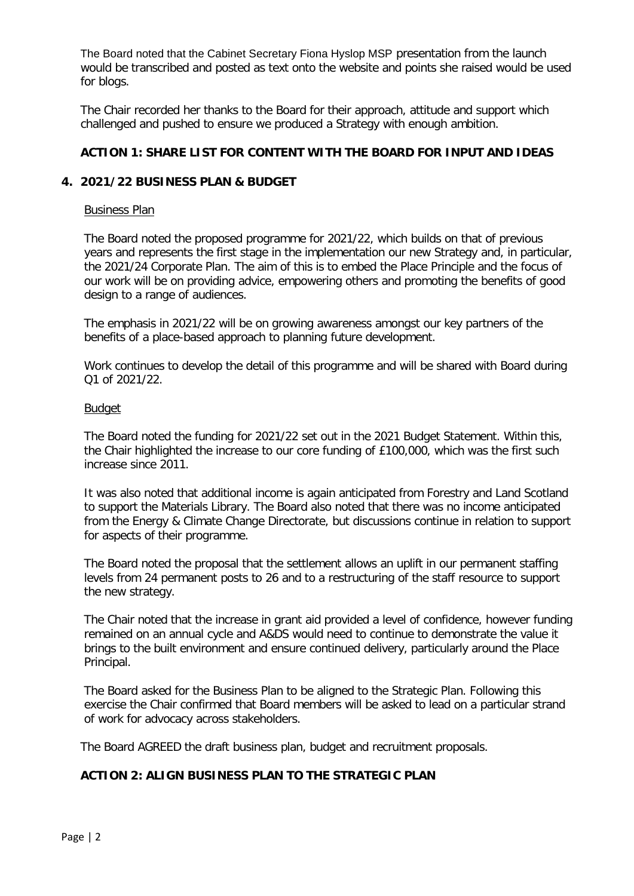The Board noted that the Cabinet Secretary Fiona Hyslop MSP presentation from the launch would be transcribed and posted as text onto the website and points she raised would be used for blogs.

The Chair recorded her thanks to the Board for their approach, attitude and support which challenged and pushed to ensure we produced a Strategy with enough ambition.

# **ACTION 1: SHARE LIST FOR CONTENT WITH THE BOARD FOR INPUT AND IDEAS**

# **4. 2021/22 BUSINESS PLAN & BUDGET**

#### Business Plan

The Board noted the proposed programme for 2021/22, which builds on that of previous years and represents the first stage in the implementation our new Strategy and, in particular, the 2021/24 Corporate Plan. The aim of this is to embed the Place Principle and the focus of our work will be on providing advice, empowering others and promoting the benefits of good design to a range of audiences.

The emphasis in 2021/22 will be on growing awareness amongst our key partners of the benefits of a place-based approach to planning future development.

Work continues to develop the detail of this programme and will be shared with Board during Q1 of 2021/22.

#### Budget

The Board noted the funding for 2021/22 set out in the 2021 Budget Statement. Within this, the Chair highlighted the increase to our core funding of £100,000, which was the first such increase since 2011.

It was also noted that additional income is again anticipated from Forestry and Land Scotland to support the Materials Library. The Board also noted that there was no income anticipated from the Energy & Climate Change Directorate, but discussions continue in relation to support for aspects of their programme.

The Board noted the proposal that the settlement allows an uplift in our permanent staffing levels from 24 permanent posts to 26 and to a restructuring of the staff resource to support the new strategy.

The Chair noted that the increase in grant aid provided a level of confidence, however funding remained on an annual cycle and A&DS would need to continue to demonstrate the value it brings to the built environment and ensure continued delivery, particularly around the Place Principal.

The Board asked for the Business Plan to be aligned to the Strategic Plan. Following this exercise the Chair confirmed that Board members will be asked to lead on a particular strand of work for advocacy across stakeholders.

The Board AGREED the draft business plan, budget and recruitment proposals.

## **ACTION 2: ALIGN BUSINESS PLAN TO THE STRATEGIC PLAN**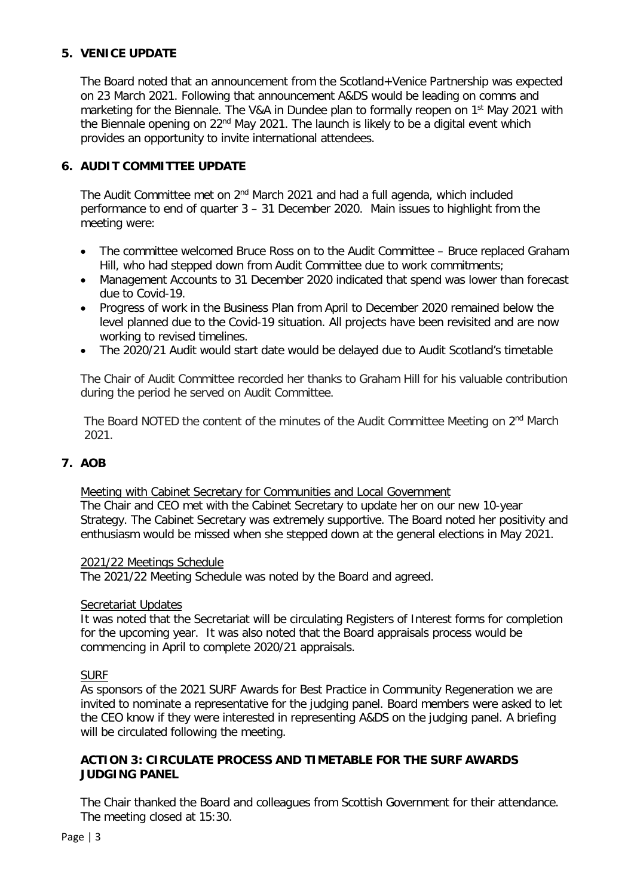# **5. VENICE UPDATE**

The Board noted that an announcement from the Scotland+Venice Partnership was expected on 23 March 2021. Following that announcement A&DS would be leading on comms and marketing for the Biennale. The V&A in Dundee plan to formally reopen on 1<sup>st</sup> May 2021 with the Biennale opening on 22<sup>nd</sup> May 2021. The launch is likely to be a digital event which provides an opportunity to invite international attendees.

# **6. AUDIT COMMITTEE UPDATE**

The Audit Committee met on 2<sup>nd</sup> March 2021 and had a full agenda, which included performance to end of quarter 3 – 31 December 2020. Main issues to highlight from the meeting were:

- The committee welcomed Bruce Ross on to the Audit Committee Bruce replaced Graham Hill, who had stepped down from Audit Committee due to work commitments;
- Management Accounts to 31 December 2020 indicated that spend was lower than forecast due to Covid-19.
- Progress of work in the Business Plan from April to December 2020 remained below the level planned due to the Covid-19 situation. All projects have been revisited and are now working to revised timelines.
- The 2020/21 Audit would start date would be delayed due to Audit Scotland's timetable

The Chair of Audit Committee recorded her thanks to Graham Hill for his valuable contribution during the period he served on Audit Committee.

The Board NOTED the content of the minutes of the Audit Committee Meeting on  $2<sup>nd</sup>$  March 2021.

# **7. AOB**

## Meeting with Cabinet Secretary for Communities and Local Government

The Chair and CEO met with the Cabinet Secretary to update her on our new 10-year Strategy. The Cabinet Secretary was extremely supportive. The Board noted her positivity and enthusiasm would be missed when she stepped down at the general elections in May 2021.

## 2021/22 Meetings Schedule

The 2021/22 Meeting Schedule was noted by the Board and agreed.

## Secretariat Updates

It was noted that the Secretariat will be circulating Registers of Interest forms for completion for the upcoming year. It was also noted that the Board appraisals process would be commencing in April to complete 2020/21 appraisals.

## SURF

As sponsors of the 2021 SURF Awards for Best Practice in Community Regeneration we are invited to nominate a representative for the judging panel. Board members were asked to let the CEO know if they were interested in representing A&DS on the judging panel. A briefing will be circulated following the meeting.

# **ACTION 3: CIRCULATE PROCESS AND TIMETABLE FOR THE SURF AWARDS JUDGING PANEL**

The Chair thanked the Board and colleagues from Scottish Government for their attendance. The meeting closed at 15:30.